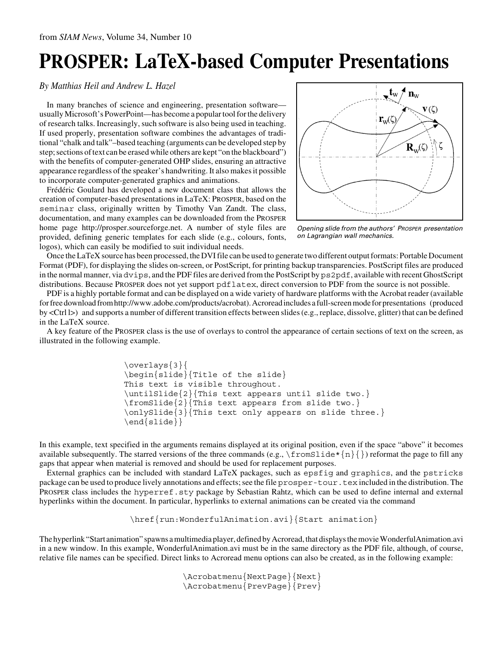## **PROSPER: LaTeX-based Computer Presentations**

## *By Matthias Heil and Andrew L. Hazel*

In many branches of science and engineering, presentation software usually Microsoft's PowerPoint—has become a popular tool for the delivery of research talks. Increasingly, such software is also being used in teaching. If used properly, presentation software combines the advantages of traditional "chalk and talk"–based teaching (arguments can be developed step by step; sections of text can be erased while others are kept "on the blackboard") with the benefits of computer-generated OHP slides, ensuring an attractive appearance regardless of the speaker's handwriting. It also makes it possible to incorporate computer-generated graphics and animations.

Frédéric Goulard has developed a new document class that allows the creation of computer-based presentations in LaTeX: PROSPER, based on the seminar class, originally written by Timothy Van Zandt. The class, documentation, and many examples can be downloaded from the PROSPER home page http://prosper.sourceforge.net. A number of style files are provided, defining generic templates for each slide (e.g., colours, fonts, logos), which can easily be modified to suit individual needs.



Opening slide from the authors' PROSPER presentation on Lagrangian wall mechanics.

Once the LaTeX source has been processed, the DVI file can be used to generate two different output formats: Portable Document Format (PDF), for displaying the slides on-screen, or PostScript, for printing backup transparencies. PostScript files are produced in the normal manner, via dvips, and the PDF files are derived from the PostScript by ps2pdf, available with recent GhostScript distributions. Because PROSPER does not yet support pdflatex, direct conversion to PDF from the source is not possible.

PDF is a highly portable format and can be displayed on a wide variety of hardware platforms with the Acrobat reader (available for free download from http://www.adobe.com/products/acrobat). Acroread includes a full-screen mode for presentations (produced by <Ctrl l>) and supports a number of different transition effects between slides (e.g., replace, dissolve, glitter) that can be defined in the LaTeX source.

A key feature of the PROSPER class is the use of overlays to control the appearance of certain sections of text on the screen, as illustrated in the following example.

```
\overlays{3}{
\begin{slide}{Title of the slide}
This text is visible throughout.
\untilSlide{2}{This text appears until slide two.}
\fromSlide{2}{This text appears from slide two.}
\onlySlide{3}{This text only appears on slide three.}
\end{slide}}
```
In this example, text specified in the arguments remains displayed at its original position, even if the space "above" it becomes available subsequently. The starred versions of the three commands (e.g.,  $\frac{\text{mod}1}{e^*}{n}$ ) reformat the page to fill any gaps that appear when material is removed and should be used for replacement purposes.

External graphics can be included with standard LaTeX packages, such as epsfig and graphics, and the pstricks package can be used to produce lively annotations and effects; see the file prosper-tour.tex included in the distribution. The PROSPER class includes the hyperref.sty package by Sebastian Rahtz, which can be used to define internal and external hyperlinks within the document. In particular, hyperlinks to external animations can be created via the command

\href{run:WonderfulAnimation.avi}{Start animation}

The hyperlink "Start animation" spawns a multimedia player, defined by Acroread, that displays the movie WonderfulAnimation.avi in a new window. In this example, WonderfulAnimation.avi must be in the same directory as the PDF file, although, of course, relative file names can be specified. Direct links to Acroread menu options can also be created, as in the following example:

> \Acrobatmenu{NextPage}{Next} \Acrobatmenu{PrevPage}{Prev}